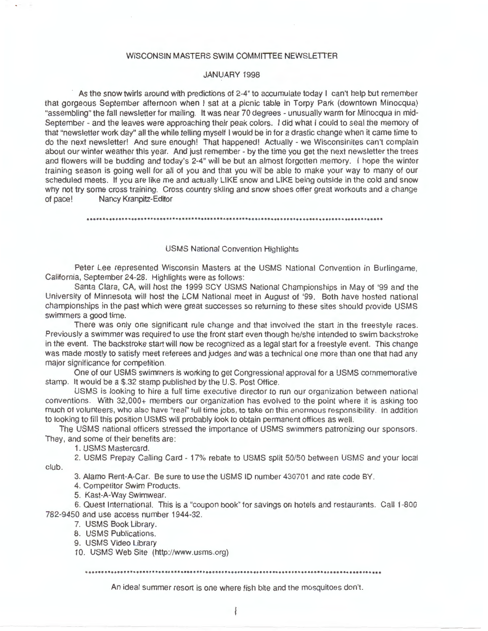## WISCONSIN MASTERS SWIM COMMITTEE NEWSLETTER

# JANUARY 1998

As the snow twirls around with predictions of 2-4" to accumulate today I can't help but remember that gorgeous September afternoon when I sat at a picnic table in Torpy Park (downtown Minocqua) "assembling" the fall newsletter for mailing. It was near 70 degrees - unusually warm for Minocqua in mid-September - and the leaves were approaching their peak colors. I did what I could to seal the memory of that "newsletter work day" all the while telling myself I would be in for a drastic change when it came time to do the next newsletter! And sure enough! That happened! Actually - we Wisconsinites can't complain about our winter weather this year. And just remember - by the time you get the next newsletter the trees and flowers will be budding and today's 2-4" will be but an almost forgotten memory. I hope the winter training season is going well for all of you and that you will be able to make your way to many of our scheduled meets. If you are like me and actually LIKE snow and LIKE being outside in the cold and snow why not try some cross training. Cross country skiing and snow shoes offer great workouts and a change of pace! Nancy Kranpitz-Editor

# USMS National Convention Highlights

Peter Lee represented Wisconsin Masters at the USMS National Convention in Burlingame. California, September 24-28. Highlights were as follows :

Santa Clara, CA, will host the 1999 SCY USMS National Championships in May of '99 and the University of Minnesota will host the LCM National meet in August of '99. Both have hosted national championships in the past which were great successes so returning to these sites should provide USMS swimmers a good time.

There was only one significant rule change and that involved the start in the freestyle races. Previously a swimmer was required to use the front start even though he/she intended to swim backstroke in the event. The backstroke start will now be recognized as a legal start for a freestyle event. This change was made mostly to satisfy meet referees and judges and was a technical one more than one that had any major significance for competition.

One of our USMS swimmers is working to get Congressional approval for a USMS commemorative stamp. It would be a \$.32 stamp published by the U.S. Post Office.

USMS is looking to hire a full time executive director to run our organization between national conventions. With 32,000+ members our organization has evolved to the point where it is asking too much of volunteers, who also have "real" full time jobs, to take on this enormous responsibility. In addition to looking to fill this position USMS will probably look to obtain permanent offices as well.

The USMS national officers stressed the importance of USMS swimmers patronizing our sponsors. They, and some of their benefits are:

1. USMS Mastercard.

2. USMS Prepay Calling Card - 17% rebate to USMS split 50/50 between USMS and your local club.

3. Alamo Rent-A-Car. Be sure to use the USMS ID number 430701 and rate code BY.

4. Competitor Swim Products.

5. Kast-A-Way Swimwear.

6. Quest International. This is a "coupon book" for savings on hotels and restaurants. Call 1-800 782-9450 and use access number 1944-32.

7. USMS Book Library.

8. USMS Publications.

9. USMS Video Library

10. USMS Web Site (http://www.usms.org)

An ideal summer resort is one where fish bite and the mosquitoes don't.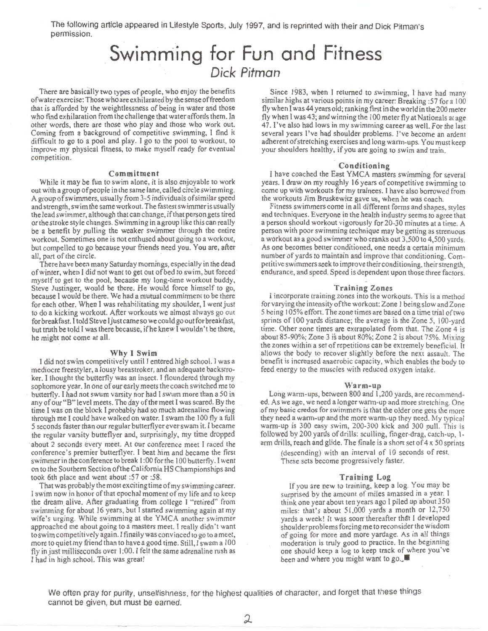The following article appeared in Lifestyle Sports, July 1997, and is reprinted with their and Dick Pitman's permission.

# **Swimming for Fun and Fitness**  *Dick Pitman*

There are basically two types of people, who enjoy the benefits of water exercise: Those who are exhilarated by the sense of freedom that is afforded by the weightlessness of being in water and those who find exhilaration from the challenge that water affords them. In other words, there are those who play and those who work out. Coming from a background of competitive swimming, I find it difficult to go to a pool and play. I go to the pool to workout, to improve my physical fitness, to make myself ready for eventual competition.

### **Commitment**

While it may be fun to swim alone, it is also enjoyable to work out with a group of people in the same lane, called circle swimming. A group of swimmers, usually from 3-5 individuals of similar speed and strength, swim the same workout. The fastest swimmer is usually the lead swimmer, although that can change, if that person gets tired or the stroke style changes. Swimming in a group like this can really be a benefit by pulling the weaker swimmer through the entire workout. Sometimes one is not enthused about going to a workout, but compelled to go because your friends need you. You are, after all, part of the circle.

There have been many Saturday mornings, especially in the dead of winter, when I did not want to get out of bed to swim, but forced · myself to get to the pool, because my long-time workout buddy, Steve Justinger, would be there. He would force himself to go, because I would be there. We had a mutual commitment to be there for each other. When I was rehabilitating my shoulder, I went just to do a kicking workout. After workouts we almost always go ouc for breakfast. I told Steve ljustcame so we could go out for breakfast, but truth be told I was there because, ifhe knew I wouldn't be there, he might not come at all.

#### Why I **Swim**

I did not swim competitively until I entered high school. I was a mediocre freestyler, a lousy breastroker, and an adequate backstroker. I thought the butterfly was an insect. I floundered through my sophomore year. In one of our early meets the coach switched me to butterfly. I had not swum varsity nor had I swum more than a 50 in any of our "B" level meets. The day of the meet I was scared. By the time I was on the block I probably had so much adrenaline flowing through me I could have walked on water. I swam the 100 fly a full 5 seconds faster than our regular butterflyer ever swam it. I became the regular varsity butteflyer and, surprisingly, my time dropped about 2 seconds every meet. At our conference meet I raced the conference's premier butterflyer. I beat him and became the first swimmer in the conference to break 1 :00 for the 100 butterfly. I went on to the Southern Section of the California HS Championships and took 6th place and went about :57 or :58.

That was probably the most exciting time of my swimming career. I swim now in honor of that epochal moment of my life and to keep the dream\_ alive. After graduating from college I "retired" from swimming for about 16 years, but I started swimming again at my wife 's urging. While swimming at the YMCA another swimmer approached me about going to a masters meet. I really didn 't want to swim competitively again. I finally was convinced to go to a meet, more to quiet my friend than to have a good time. Still, I swam a I 00 fly in just milliseconds over I :00. I felt the same adrenaline rush as I had in high school. This was great!

Since 1983, when I returned to swimming, I have had many similar highs at various points in my career: Breaking :57 for a 100 fly when I was44 years old; ranking first in the world in the 200 meter fly when I was 43; and winning the I 00 meter fly at Nationals at age 47. I've also had lows in my swimming career as well. For the last several years I've had shoulder problems. I've become an ardent adherent of stretching exercises and long warm-ups. You must keep your shoulders healthy, if you are going to swim and train.

### **Conditioning**

I have coached the East YMCA masters swimming for several years. I draw on my roughly 16 years of competitive swimming to come up with workouts for my trainees. I have also borrowed from the workouts Jim Bruskewitz gave us, when he was coach.

Fitness swimmers come in all different forms and shapes, styles and techniques. Everyone in the health industry seems to agree that a person should workout vigorously for 20-30 minutes at a time. A person with poor swimming technique may be getting as strenuous a workout as a good swimmer who cranks out 3,500 to 4,500 yards. As one becomes better conditioned, one needs a certain minimum number of yards to maintain and improve that conditioning. Competitive swimmers seek to improve their conditioning, their strength, endurance, and speed. Speed is dependent upon those three factors.

#### **Training Zones**

I incorporate training zones into the workouts. This is a method for varying the intensity of the workout: Zone I being slow and Zone 5 being I 05% effort. The zone times are based on a time trial of two sprints of 100 yards distance; the average is the Zone 5, 100-yard time. Other zone times are extrapolated from that. The Zone 4 is about 85-90%; Zone 3 is about 80%; Zone 2 is about 75%. Mixing the zones within a set of repetitions can be extremely beneficial. It allows the body to recover slightly before the next assault. The benefit is increased anaerobic capacity, which enables the body to feed energy to the muscles with reduced oxygen intake.

### **Warm-up**

Long warm-ups, between 800 and 1,200 yards, are recommended. As we age, we need a longer warm-up and more stretching. One of my basic credos for swimmers is that the older one gets the more they need a warm-up and the more warm-up they need. My typical warm-up is 300 easy swim, 200-300 kick and 300 pull. This is followed by 200 yards of drills: sculling, finger-drag, catch-up, Iarm drills, reach and glide. The finale is a short set of 4 x 50 sprints

(descending) with an interval of 10 seconds of rest. These sets become progressively faster.

## **Training Log**

If you are new to training, keep a log. You may be surprised by the amount of miles amassed in a year. I think one year about ten years ago I piled up about 350 miles: that's about 51.000 yards a month or 12,750 yards a week! It was soon thereafter that I developed shoulder problems forcing me to reconsider the wisdom of going for more and more yardage. As in all things moderation is truly good to practice. In the beginning one should keep a log to keep track of where you've been and where you might want to go.

We often pray for purity, unselfishness, for the highest qualities of character, and forget that these things cannot be given, but must be earned.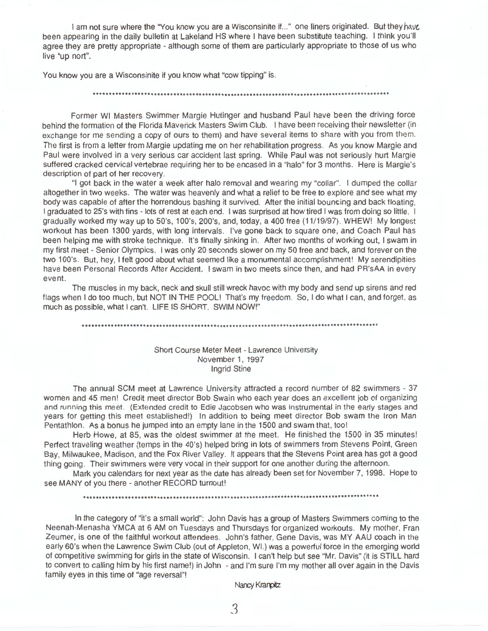I am not sure where the "You know you are a Wisconsinite if..." one liners originated. But they have been appearing in the daily bulletin at Lakeland HS where I have been substitute teaching. I think you'll agree they are pretty appropriate - although some of them are particularly appropriate to those of us who live "up nort".

You know you are a Wisconsinite if you know what "cow tipping" is.

## .................•....•.....•••....••..........•.............................................

Former WI Masters Swimmer Margie Hutinger and husband Paul have been the driving force behind the formation of the Florida Maverick Masters Swim Club. I have been receiving their newsletter (in exchange for me sending a copy of ours to them) and have several items to share with you from them. The first is from a letter from Margie updating me on her rehabilitation progress. As you know Margie and Paul were involved in a very serious car accident last spring. While Paul was not seriously hurt Margie suffered cracked cervical vertebrae requiring her to be encased in a "halo" for 3 months. Here is Margie's description of part of her recovery.

"I got back in the water a week after halo removal and wearing my "collar". I dumped the collar altogether in two weeks. The water was heavenly and what a relief to be free to explore and see what my body was capable of after the horrendous bashing it survived. After the initial bouncing and back floating, I graduated to 25's with fins - lots of rest at each end. I was surprised at how tired I was from doing so little. I gradually worked my way up to 50's, 100's, 200's, and, today, a 400 free (11 /19/97). WHEW! My longest workout has been 1300 yards, with long intervals. I've gone back to square one, and Coach Paul has been helping me with stroke technique. It's finally sinking in. After two months of working out, I swam in my first meet - Senior Olympics. I was only 20 seconds slower on my 50 free and back, and forever on the two 100's. But, hey, I felt good about what seemed like a monumental accomplishment! My serendipities have been Personal Records After Accident. I swam in two meets since then, and had PR'sAA in every event.

The muscles in my back, neck and skull still wreck havoc with my body and send up sirens and red flags when I do too much, but NOT IN THE POOL! That's my freedom. So, I do what I can, and forget, as much as possible, what I can't. LIFE IS SHORT. SWIM NOW!"

## .........•••••••••..•...........•...•............................................••...•...••.

# Short Course Meter Meet - Lawrence University November 1, 1997 Ingrid Stine

The annual SCM meet at Lawrence University attracted a record number of 82 swimmers - 37 women and 45 men! Credit meet director Bob Swain who each year does an excellent job of organizing and running this meet. (Extended credit to Edie Jacobsen who was instrumental in the early stages and years for getting this meet established!) In addition to being meet director Bob swam the Iron Man Pentathlon. As a bonus he jumped into an empty lane in the 1500 and swam that, too!

Herb Howe, at 85, was the oldest swimmer at the meet. He finished the 1500 in 35 minutes! Perfect traveling weather (temps in the 40's) helped bring in lots of swimmers from Stevens Point, Green Bay, Milwaukee, Madison, and the Fox River Valley. It appears that the Stevens Point area has got a good thing going. Their swimmers were very vocal in their support for one another during the afternoon.

Mark you calendars for next year as the date has already been set for November 7, 1998. Hope to see MANY of you there - another RECORD turnout!

············································································•\*\*\*\*\*\*\*\*\*\*\*\*\*\*\* \*

In the category of "it's a small world": John Davis has a group of Masters Swimmers coming to the Neenah-Menasha YMCA at 6 AM on Tuesdays and Thursdays for organized workouts. My mother, Fran Zeumer, is one of the faithful workout attendees. John's father, Gene Davis, was MY AAU coach in the early 60's when the Lawrence Swim Club (out of Appleton, WI.) was a powerful force in the emerging world of competitive swimming for girls in the state of Wisconsin. I can't help but see "Mr. Davis" (it is STILL hard to convert to calling him by his first name!) in John - and I'm sure I'm my mother all over again in the Davis family eyes in this time of "age reversal"!

Nancy Kranpitz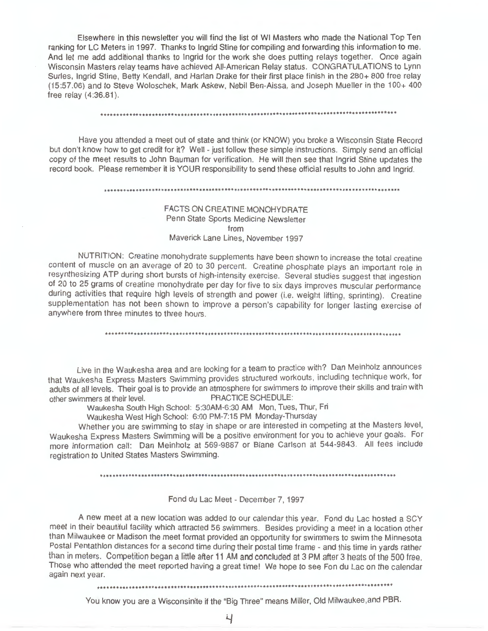Elsewhere in this newsletter you will find the list of WI Masters who made the National Top Ten ranking for LC Meters in 1997. Thanks to Ingrid Stine for compiling and forwarding this information to me. And let me add additional thanks to Ingrid for the work she does putting relays together. Once again Wisconsin Masters relay teams have achieved All-American Relay status. CONGRATULATIONS to Lynn Surles, Ingrid Stine, Betty Kendall, and Harlan Drake for their **first** place finish in the 280+ 800 free relay (15:57.06) and to Steve Woloschek, Mark Askew, Nebil Ben-Aissa, and Joseph Mueller in the 100+ 400 free relay (4:36.81) .

## ......................•............•..•......................................................

Have you attended a meet out of state and think (or KNOW) you broke a Wisconsin State Record but don't know how to get credit for it? Well - just follow these simple instructions. Simply send an official copy of the meet results to John Bauman for verification. He will then see that Ingrid Stine updates the record book. Please remember it is YOUR responsibility to send these official results to John and Ingrid.

#### 

# FACTS ON CREATINE MONOHYDRATE Penn State Sports Medicine Newsletter from Maverick Lane Lines, November 1997

NUTRITION: Creatine monohydrate supplements have been shown to increase the total creatine content of muscle on an average of 20 to 30 percent. Creatine phosphate plays an important role in resynthesizing ATP during short bursts of high-intensity exercise. Several studies suggest that ingestion of 20 to 25 grams of creatine monohydrate per day for five to six days improves muscular performance during activities that require high levels of strength and power (i.e. weight lifting, sprinting). Creatine supplementation has not been shown to improve a person's capability for longer lasting exercise of anywhere from three minutes to three hours.

\*\*\*\*\*\*\*\*\*\*\*\*\*\*\*\*\*\*\*\*\*\*\*\*\*\*\*\*\*\*\*\*\*\*\*\*\*\*\*\*\*\*\*\*\*\*\*\*\*\*\*\*\*\*\*\*\*\*\*\*\*\*\*\*\*\*\*\*\*\*\*\*\*\*\*\*\*\*\*\*\*\*\*\*\*\*\*\*\*\*\*\*\*

Live in the Waukesha area and are looking for a team to practice with? Dan Meinholz announces that Waukesha Express Masters Swimming provides structured workouts, including technique work, for adults of all levels. Their goal is to provide an atmosphere for swimmers to improve their skills and train with other swimmers at their level. PRACTICE SCHEDULE:

Waukesha South High School: 5:30AM-6:30 AM Mon, Tues, Thur, Fri

Waukesha West High School: 6:00 PM-7:15 PM Monday-Thursday

Whether you are swimming to stay in shape or are interested in competing at the Masters level, Waukesha Express Masters Swimming will be a positive environment for you to achieve your goals. For more information call: Dan Meinholz at 569-9887 or Blane Carlson at 544-9843. All fees include registration to United States Masters Swimming.

## Fond du Lac Meet - December 7, 1997

A new meet at a new location was added to our calendar this year. Fond du Lac hosted a SCY meet in their beautiful facility which attracted 56 swimmers. Besides providing a meet in a location other than Milwaukee or Madison the meet format provided an opportunity for swimmers to swim the Minnesota Postal Pentathlon distances for a second time during their postal time frame - and this time in yards rather than in meters. Competition began a little after 11 AM and concluded at 3 PM after 3 heats of the 500 free. Those who attended the meet reported having a great time! We hope to see Fon du Lac on the calendar again next year.

\*\*\*\*\*\*\*\*\*\*\*\*\*\*\*\*\*\*\*\*\*\*\*\*\*\*\*\*\*\*\*\*\*\*\*\*\*\*\*\*\*\*\*\*\*\*\*\*\*\*\*\*\*\*\*\*\*\*\*\*\*\*\*\*\*\*\*\*\*\*\*\*\*\*\*\*\*\*\*\*\*\*\*\*\*\*\*\*\*\*\*\*\*

You know you are a Wisconsinite if the "Big Three" means Miller, Old Milwaukee.and PBR.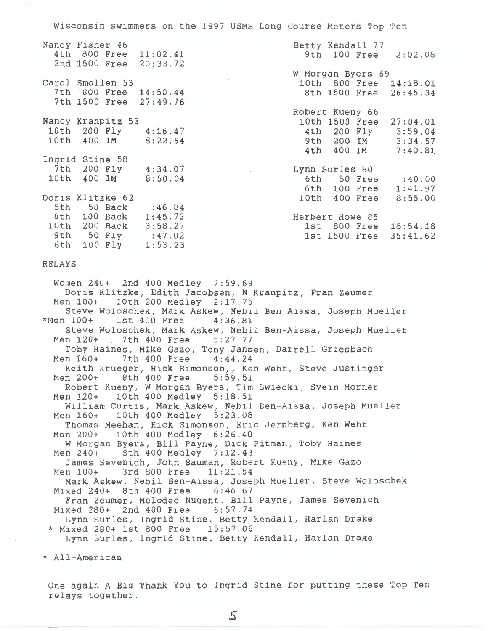Wisconsin swimmers on the 1997 USMS Long Course Meters Top Ten

|  | Nancy Fisher 46   | 4th 800 Free 11:02.41<br>2nd 1500 Free 20:33.72 | Betty Kendall 77<br>9th 100 Free 2:02.08            |
|--|-------------------|-------------------------------------------------|-----------------------------------------------------|
|  |                   |                                                 | W Morgan Byers 69                                   |
|  | Carol Smollen 53  |                                                 | 10th 800 Free 14:18.01                              |
|  |                   | 7th 800 Free 14:50.44                           | 8th 1500 Free 26:45.34                              |
|  |                   | 7th 1500 Free 27:49.76                          |                                                     |
|  |                   |                                                 | Robert Kueny 66                                     |
|  | Nancy Kranpitz 53 |                                                 | 10th 1500 Free 27:04.01                             |
|  |                   | 10th 200 Fly 4:16.47                            | 4th 200 Fly 3:59.04                                 |
|  |                   | 10th 400 IM 8:22.64                             | 9th 200 IM 3:34.57                                  |
|  |                   |                                                 | 4th 400 IM 7:40.81                                  |
|  | Ingrid Stine 58   |                                                 |                                                     |
|  |                   | 7th 200 Fly 4:34.07                             | Lynn Surles 80<br>the control of the control of the |
|  |                   | 10th 400 IM 8:50.04                             | 6th 50 Free : 40.00                                 |
|  |                   |                                                 | 6th 100 Free 1:41.97                                |
|  | Doris Klitzke 62  |                                                 | 10th 400 Free 8:55.00                               |
|  |                   | 5th 50 Back : 46.84                             |                                                     |
|  |                   | 8th 100 Back 1:45.73                            | Herbert Howe 85                                     |
|  |                   | 10th 200 Back 3:58.27                           | 1st 800 Free 18:54.18                               |
|  |                   | 9th 50 Fly : 47.02                              | 1st 1500 Free 35:41.62                              |
|  |                   |                                                 |                                                     |

## RELAYS

6th 100 Fly 1:53.23

Women 240+ 2nd 400 Medley 7:59.69 Doris Klitzke, Edith Jacobsen, N Kranpitz, Fran Zeumer<br>Men 100+ 10th 200 Medley 2:17.75 10th 200 Medley 2:17.75 Steve Woloschek, Mark Askew, Nebil Ben\_Aissa, Joseph Mueller<br>\*Men 100+ 1st 400 Free 4:36.81  $1st$   $400$   $Free$ Steve Woloschek, Mark Askew, Nebil Ben-Aissa, Joseph Mueller Men 120+ 7th 400 Free 5: 27.77 Toby Haines, Mike Gazo, Tony Jansen, Darrell Griesbach<br>Men 160+ 7th 400 Free 4:44.24 7th 400 Free Keith Krueger, Rick Simonson,, Ken Wehr, Steve Justinger Men 200+ 8th 400 Free 5:59.51 Robert Kueny, W Morgan Byers, Tim Swiecki, Svein Morner Men 120+ 10th 400 Medley 5:18.51 William Curtis, Mark Askew, Nebil Ben-Aissa, Joseph Mueller<br>Men 160+ 10th 400 Medley 5:23.08 10th 400 Medley 5:23.08 Thomas Meehan, Rick Simonson, Eric Jernberg, Ken Wehr Men 200+ 10th 400 Medley 6:26.40 W Morgan Byers, Bill Payne, Dick Pitman, Toby Haines Men 240+ 8th 400 Medley 7:12.43 James Sevenich, John Bauman, Robert Kueny, Mike Gazo Men 100+ 3rd 800 Free 11:21.54 Mark Askew, Nebil Ben-Aissa, Joseph Mueller, Steve Woloschek<br>xed 240+ 8th 400 Free 6:46.67 Mixed 240+ 8th 400 Free Fran Zeumer, Melodee Nugent, Bill Payne, James Sevenich Mixed 280+ 2nd 400 Free 6:57. 74 Lynn Surles, Ingrid Stine, Betty Kendall, Harlan Drake \* Mixed 280+ 1st 800 Free 15: 57.0 6 Lynn Surles, Ingrid Stine, Betty Kendall, Harlan Drake

\* All-American

One again A Big Thank You to Ingrid Stine for putting these Top Ten relays together.

5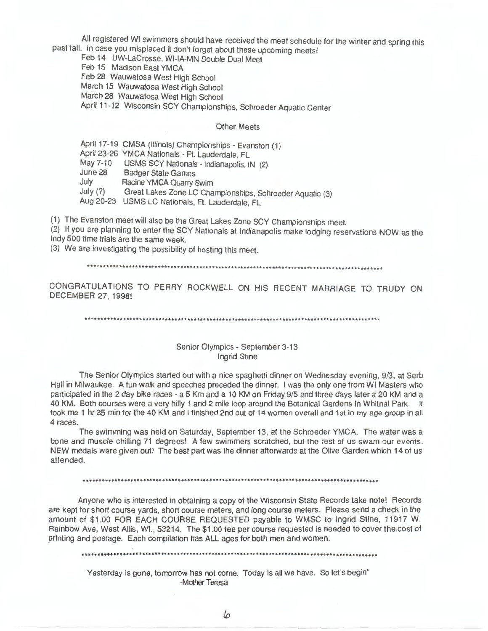All registered WI swimmers should have received the meet schedule for the winter and spring this past fall. In case you misplaced it don't forget about these upcoming meets!

Feb 14 UW-LaCrosse, WI-IA-MN Double Dual Meet

Feb 15 Madison East YMCA

Feb 28 Wauwatosa West High School

March 15 Wauwatosa West High School

March 28 Wauwatosa West High School

April 11-12 Wisconsin SCY Championships, Schroeder Aquatic Center

# **Other Meets**

April 17-19 CMSA (Illinois) Championships - Evanston (1) April 23-26 YMCA Nationals - Ft. Lauderdale, FL May 7-10 USMS SCY Nationals - Indianapolis, IN (2) June 28 Badger State Games July Racine YMCA Quarry Swim July  $(?)$ Great Lakes Zone LC Championships, Schroeder Aquatic (3) Aug 20-23 USMS LC Nationals, Ft. Lauderdale, FL

(1) The Evanston meet will also be the Great Lakes Zone SCY Championships meet.

(2) If you are planning to enter the SCY Nationals at Indianapolis make lodging reservations NOW as the Indy 500 time trials are the same week.

(3) We are investigating the possibility of hosting this meet.

CONGRATULATIONS TO PERRY ROCKWELL ON HIS RECENT MARRIAGE TO TRUDY ON DECEMBER 27, 1998!

# Senior Olympics - September 3-13 **Ingrid Stine**

The Senior Olympics started out with a nice spaghetti dinner on Wednesday evening, 9/3, at Serb Hall in Milwaukee. A fun walk and speeches preceded the dinner. I was the only one from WI Masters who participated in the 2 day bike races - a 5 Km and a 10 KM on Friday 9/5 and three days later a 20 KM and a 40 KM. Both courses were a very hilly 1 and 2 mile loop around the Botanical Gardens in Whitnal Park. It took me 1 hr 35 min for the 40 KM and I finished 2nd out of 14 women overall and 1st in my age group in all 4 races.

The swimming was held on Saturday, September 13, at the Schroeder YMCA. The water was a bone and muscle chilling 71 degrees! A few swimmers scratched, but the rest of us swam our events. NEW medals were given out! The best part was the dinner afterwards at the Olive Garden which 14 of us attended.

Anyone who is interested in obtaining a copy of the Wisconsin State Records take note! Records are kept for short course yards, short course meters, and long course meters. Please send a check in the amount of \$1.00 FOR EACH COURSE REQUESTED payable to WMSC to Ingrid Stine, 11917 W. Rainbow Ave, West Allis, WI., 53214. The \$1.00 fee per course requested is needed to cover the cost of printing and postage. Each compilation has ALL ages for both men and women.

Yesterday is gone, tomorrow has not come. Today is all we have. So let's begin' -Mother Teresa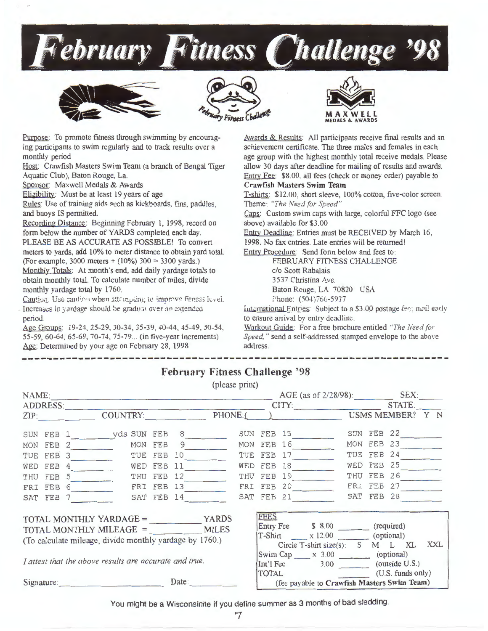







Purpose: To promote fitness through swimming by encouraging participants to swim regularly and to track results over a monthly period

Host: Crawfish Masters Swim Team (a branch of Bengal Tiger Aquatic Club), Baton Rouge, La.

Sponsor: Maxwell Medals & Awards

Eligibility: Must be at least 19 years of age

Rules: Use of training aids such as kickboards, fins, paddles, and buoys IS permitted.

Recording Distance: Beginning February 1, 1998, record on form below the number of YARDS completed each day. PLEASE BE AS ACCURATE AS POSSIBLE! To convert meters to yards, add 10% to meter distance to obtain yard total. (For example, 3000 meters +  $(10\%)$  300 = 3300 yards.) Monthly Totals: At month's end, add daily yardage totals to obtain monthly total. To calculate number of miles, divide monthly yardage total by 1760.

Caution. Use caution when attempting to improve fitness lovel. Increases in yardage should be gradual over an extended period.

Age Groups: 19-24, 25-29, 30-34, 35-39, 40-44, 45-49, 50-54, 55-59, 60-64, 65-69, 70-74, 75-79... (in five-year increments) Age: Determined by your age on February 28, 1998

Awards & Results: All participants receive final results and an achievement certificate. The three males and females in each age group with the highest monthly total receive medals. Please allow 30 days after deadline for mailing of results and awards. Entry Fee: \$8.00, all fees (check or money order) payable to **Crawfish Masters Swim Team** 

T-shirts: \$12.00, short sleeve, 100% cotton, five-color screen. Theme: "The Need for Speed"

Caps: Custom swim caps with large, colorful FFC logo (see above) available for \$3.00

Entry Deadline: Entries must be RECEIVED by March 16,

1998. No fax entries. Late entries will be returned!

**Entry Procedure:** Send form below and fees to:

FEBRUARY FITNESS CHALLENGE c/o Scott Rabalais 3537 Christina Ave. Baton Rouge, LA 70820 USA Phone:  $(504)766 - 5937$ 

International Entries: Subject to a \$3.00 postage fee; mail early to ensure arrival by entry deadline.

Workout Guide: For a free brochure entitled "The Need for Speed," send a self-addressed stamped envelope to the above address.

|                                                         |  |           |                                            |  |  | $1 \text{ cm}$ and $1 \text{ m}$ and $1 \text{ m}$ |                                             |                                                                    |             |            |              |  |              |  |
|---------------------------------------------------------|--|-----------|--------------------------------------------|--|--|----------------------------------------------------|---------------------------------------------|--------------------------------------------------------------------|-------------|------------|--------------|--|--------------|--|
|                                                         |  |           |                                            |  |  | (please print)                                     |                                             |                                                                    |             |            |              |  |              |  |
| NAME: SEX: SEX: SEX:                                    |  |           |                                            |  |  |                                                    |                                             |                                                                    |             |            |              |  |              |  |
| ADDRESS:                                                |  |           |                                            |  |  |                                                    |                                             |                                                                    |             |            | CITY: STATE: |  |              |  |
|                                                         |  |           | ZIP: COUNTRY: PHONE:( ) USMS MEMBER? Y N   |  |  |                                                    |                                             |                                                                    |             |            |              |  |              |  |
|                                                         |  |           |                                            |  |  |                                                    |                                             |                                                                    |             |            |              |  | SUN FEB 22   |  |
|                                                         |  | MON FEB 2 | MON FEB 9                                  |  |  |                                                    |                                             |                                                                    |             | MON FEB 16 |              |  | MON FEB 23   |  |
|                                                         |  | TUE FEB 3 |                                            |  |  | TUE FEB 10                                         |                                             |                                                                    |             | TUE FEB 17 |              |  | TUE FEB 24   |  |
|                                                         |  |           | WED FEB 4 WED FEB                          |  |  | 11                                                 |                                             |                                                                    |             | WED FEB 18 |              |  | WED FEB $25$ |  |
|                                                         |  | THU FEB 5 |                                            |  |  | THU FEB 12                                         |                                             |                                                                    |             | THU FEB 19 |              |  | THU FEB 26   |  |
|                                                         |  |           | FRI FEB 6 FRI FEB 13 FRI FEB 20 FRI FEB 27 |  |  |                                                    |                                             |                                                                    |             |            |              |  |              |  |
|                                                         |  | SAT FEB 7 |                                            |  |  | SAT FEB 14                                         |                                             |                                                                    |             | SAT FEB 21 |              |  | SAT FEB 28   |  |
|                                                         |  |           |                                            |  |  |                                                    |                                             |                                                                    | <b>FEES</b> |            |              |  |              |  |
| TOTAL MONTHLY MILEAGE = MILES                           |  |           |                                            |  |  |                                                    | Entry Fee \$ 8.00 (required)                |                                                                    |             |            |              |  |              |  |
| (To calculate mileage, divide monthly yardage by 1760.) |  |           |                                            |  |  |                                                    |                                             | T-Shirt x 12.00 (optional)<br>Circle T-shirt size(s): S M L XL XXL |             |            |              |  |              |  |
|                                                         |  |           |                                            |  |  |                                                    |                                             | Swim Cap x 3.00 (optional)                                         |             |            |              |  |              |  |
| I attest that the above results are accurate and true.  |  |           |                                            |  |  |                                                    | Int'l Fee 3.00 (outside U.S.)               |                                                                    |             |            |              |  |              |  |
|                                                         |  |           |                                            |  |  |                                                    |                                             | TOTAL (U.S. funds only)                                            |             |            |              |  |              |  |
| Date:<br>Signature:                                     |  |           |                                            |  |  |                                                    | (fee payable to Crawfish Masters Swim Team) |                                                                    |             |            |              |  |              |  |
|                                                         |  |           |                                            |  |  |                                                    |                                             |                                                                    |             |            |              |  |              |  |

February Fitness Challenge '98

You might be a Wisconsinite if you define summer as 3 months of bad sledding.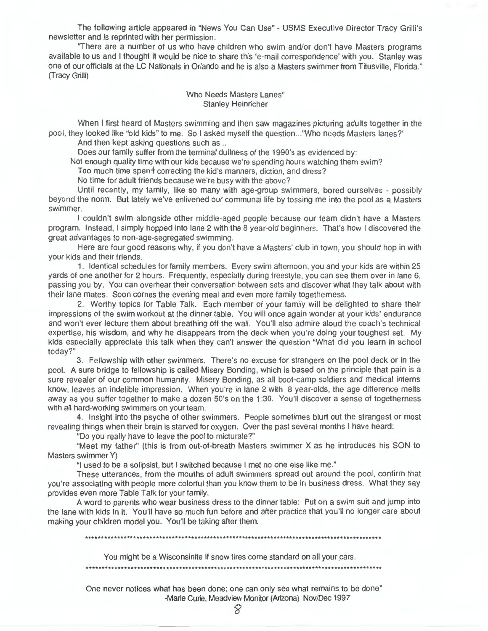The following article appeared in "News You Can Use" - USMS Executive Director Tracy Grilli's newsletter and is reprinted with her permission.

"There are a number of us who have children who swim and/or don't have Masters programs available to us and I thought it would be nice to share this 'e-mail correspondence' with you. Stanley was one of our officials at the LC Nationals in Orlando and he is also a Masters swimmer from Titusville, Florida." (Tracy Grilli)

> Who Needs Masters Lanes" Stanley Heinricher

When I first heard of Masters swimming and then saw magazines picturing adults together in the pool, they looked like "old kids" to me. So I asked myself the question ... "Who needs Masters lanes?"

And then kept asking questions such as...

Does our family suffer from the terminal dullness of the 1990's as evidenced by:

Not enough quality time with our kids because we're spending hours watching them swim?

Too much time spent correcting the kid's manners, diction, and dress?

No time for adult friends because we're busy with the above?

Until recently, my family, like so many with age-group swimmers, bored ourselves - possibly beyond the norm. But lately we've enlivened our communal life by tossing me into the pool as a Masters swimmer.

I couldn't swim alongside other middle-aged people because our team didn't have a Masters program. Instead, I simply hopped into lane 2 with the 8 year-old beginners. That's how I discovered the great advantages to non-age-segregated swimming.

Here are four good reasons why, if you don't have a Masters' club in town, you should hop in with your kids and their friends .

1. Identical schedules for family members. Every swim afternoon, you and your kids are within 25 yards of one another for 2 hours. Frequently, especially during freestyle, you can see them over in lane 6, passing you by. You can overhear their conversation between sets and discover what they talk about with their lane mates. Soon comes the evening meal and even more family togetherness.

2. Worthy topics for Table Talk. Each member of your family will be delighted to share their impressions of the swim workout at the dinner table. You will once again wonder at your kids' endurance and won't ever lecture them about breathing off the wall. You'll also admire aloud the coach's technical expertise, his wisdom, and why he disappears from the deck when you're doing your toughest set. My kids especially appreciate this talk when they can't answer the question "What did you learn in school today?"

3. Fellowship with other swimmers. There's no excuse for strangers on the pool deck or in the pool. A sure bridge to fellowship is called Misery Bonding, which is based on the principle that pain is a sure revealer of our common humanity. Misery Bonding, as all boot-camp soldiers and medical interns know, leaves an indelible impression. When you're in lane 2 with 8 year-olds, the age difference melts away as you suffer together to make a dozen S0's on the 1 :30. You'll discover a sense of togetherness with all hard-working swimmers on your team.

4. Insight into the psyche of other swimmers. People sometimes blurt out the strangest or most revealing things when their brain is starved for oxygen. Over the past several months I have heard:

"Do you really have to leave the pool to micturate?"

"Meet my father" (this is from out-of-breath Masters swimmer X as he introduces his SON to Masters swimmer Y)

"I used to be a solipsist, but I switched because I met no one else like me."

These utterances, from the mouths of adult swimmers spread out around the pool, confirm that you're associating with people more colorful than you know them to be in business dress. What they say provides even more Table Talk for your family.

A word to parents who wear business dress to the dinner table: Put on a swim suit and jump into the lane with kids in it. You'll have so much fun before and after practice that you'll no longer care about making your children model you. You'll be taking after them.

\*\*\*\*\*\*\*\*\*\*\*\*\*\*\*\*\*\*\*\*\*\*\*\*\*\*\*\*\*\*\*\*\*\*\*\*\*\*\*\*\*\*\*\*\*\*\*\*\*\*\*\*\*\*\*\*\*\*\*\*\*\*\*\*\*\*\*\*\*\*\*\*\*\*\*\*\*\*\*\*\*\*\*\*\*\*\*\*\*\*\*\*\*

You might be a Wisconsinite if snow tires come standard on all your cars .

••...•........•..•.....••......•............................•..••..••••......................

One never notices what has been done; one can only see what remains to be done" -Marie Curie, Meadview Monitor (Arizona) Nov/Dec 1997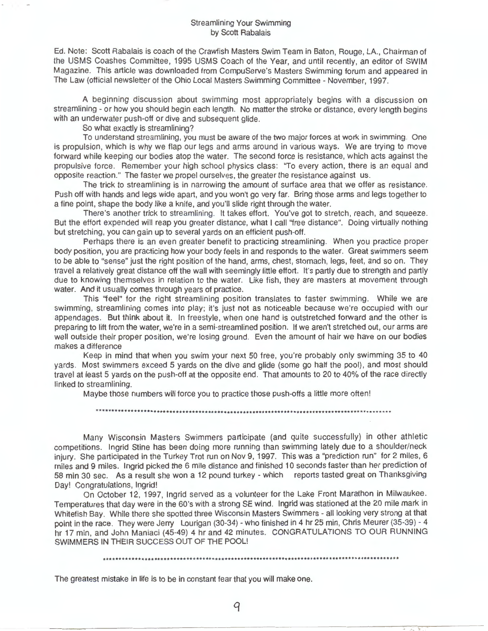Ed. Note: Scott Rabalais is coach of the Crawfish Masters Swim Team in Baton, Rouge, LA., Chairman of the USMS Coashes Committee, 1995 USMS Coach of the Year, and until recently, an editor of SWIM Magazine. This article was downloaded from CompuServe's Masters Swimming forum and appeared in The Law (official newsletter of the Ohio Local Masters Swimming Committee - November, 1997.

A beginning discussion about swimming most appropriately begins with a discussion on streamlining - or how you should begin each length. No matter the stroke or distance, every length begins with an underwater push-off or dive and subsequent glide.

So what exactly is streamlining?

To understand streamlining, you must be aware of the two major forces at work in swimming. One is propulsion, which is why we flap our legs and arms around in various ways. We are trying to move forward while keeping our bodies atop the water. The second force is resistance, which acts against the propulsive force. Remember your high school physics class: "To every action, there is an equal and opposite reaction." The faster we propel ourselves, the greater the resistance against us.

The trick to streamlining is in narrowing the amount of surface area that we offer as resistance. Push off with hands and legs wide apart, and you won't go very far. Bring those arms and legs together to a fine point, shape the body like a knife, and you'll slide right through the water.

There's another trick to streamlining. It takes effort. You've got to stretch, reach, and squeeze. But the effort expended will reap you greater distance, what I call ''free distance". Doing virtually nothing but stretching, you can gain up to several yards on an efficient push-off.

Perhaps there is an even greater benefit to practicing streamlining. When you practice proper body position, you are practicing how your body feels in and responds to the water. Great swimmers seem to be able to "sense" just the right position of the hand, arms, chest, stomach, legs, feet, and so on. They travel a relatively great distance off the wall with seemingly little effort. It's partly due to strength and partly due to knowing themselves in relation to the water. Like fish, they are masters at movement through water. And it usually comes through years of practice.

This "feel" for the right streamlining position translates to faster swimming. While we are swimming, streamlining comes into play; it's just not as noticeable because we're occupied with our appendages. But think about it. In freestyle, when one hand is outstretched forward and the other is preparing to lift from the water, we're in a semi-streamlined position. If we aren't stretched out, our arms are well outside their proper position, we're losing ground. Even the amount of hair we have on our bodies makes a difference

Keep in mind that when you swim your next 50 free, you're probably only swimming 35 to 40 yards. Most swimmers exceed 5 yards on the dive and glide (some go half the pool), and most should travel at least 5 yards on the push-off at the opposite end. That amounts to 20 to 40% of the race directly linked to streamlining.

Maybe those numbers will force you to practice those push-offs a little more often!

Many Wisconsin Masters Swimmers participate (and quite successfully) in other athletic competitions. Ingrid Stine has been doing more running than swimming lately due to a shoulder/neck injury. She participated in the Turkey Trot run on Nov 9, 1997. This was a "prediction run" for 2 miles, 6 miles and 9 miles. Ingrid picked the 6 mile distance and finished 10 seconds faster than her prediction of 58 min 30 sec. As a result she won a 12 pound turkey - which reports tasted great on Thanksgiving Day! Congratulations, Ingrid!

On October 12, 1997, Ingrid served as a volunteer for the Lake Front Marathon in Milwaukee. Temperatures that day were in the 60's with a strong SE wind. Ingrid was stationed at the 20 mile mark in Whitefish Bay. While there she spotted three Wisconsin Masters Swimmers - all looking very strong at that point in the race. They were Jerry Lourigan (30-34) - who finished in 4 hr 25 min, Chris Meurer (35-39) - 4 hr 17 min, and John Maniaci (45-49) 4 hr and 42 minutes. CONGRATULATIONS TO OUR RUNNING SWIMMERS IN THEIR SUCCESS OUT OF THE POOL!

\*\*\*\*\*\*\*\*\*\*\*\*\*\*\*\*\*\*\*\*\*\*\*\*\*\*\*\*\*\*\*\*\*\*\*\*\*\*\*\*\*\*\*\*\*\*\*\*\*\*\*\*\*\*\*\*\*\*\*\*\*\*\*\*\*\*\*\*\*\*\*\*\*\*\*\*\*\*\*\*\*\*\*\*\*\*\*\*\*\*\*\*\*

The greatest mistake in life is to be in constant fear that you will make one.

q